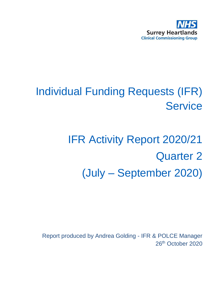

# Individual Funding Requests (IFR) **Service**

# IFR Activity Report 2020/21 Quarter 2 (July – September 2020)

Report produced by Andrea Golding - IFR & POLCE Manager 26<sup>th</sup> October 2020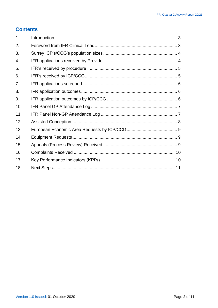#### **Contents**

| 1.  |  |
|-----|--|
| 2.  |  |
| 3.  |  |
| 4.  |  |
| 5.  |  |
| 6.  |  |
| 7.  |  |
| 8.  |  |
| 9.  |  |
| 10. |  |
| 11. |  |
| 12. |  |
| 13. |  |
| 14. |  |
| 15. |  |
| 16. |  |
| 17. |  |
| 18. |  |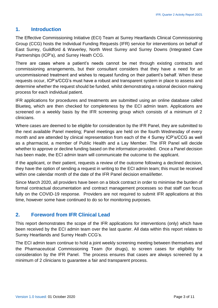#### <span id="page-2-0"></span>**1. Introduction**

The Effective Commissioning Initiative (ECI) Team at Surrey Heartlands Clinical Commissioning Group (CCG) hosts the Individual Funding Requests (IFR) service for interventions on behalf of East Surrey, Guildford & Waverley, North West Surrey and Surrey Downs (Integrated Care Partnerships (ICP's), and Surrey Heath CCG.

There are cases where a patient's needs cannot be met through existing contracts and commissioning arrangements, but their consultant considers that they have a need for an uncommissioned treatment and wishes to request funding on their patient's behalf. When these requests occur, ICP's/CCG's must have a robust and transparent system in place to assess and determine whether the request should be funded, whilst demonstrating a rational decision making process for each individual patient.

IFR applications for procedures and treatments are submitted using an online database called Blueteq, which are then checked for completeness by the ECI admin team. Applications are screened on a weekly basis by the IFR screening group which consists of a minimum of 2 clinicians.

Where cases are deemed to be eligible for consideration by the IFR Panel, they are submitted to the next available Panel meeting; Panel meetings are held on the fourth Wednesday of every month and are attended by clinical representation from each of the 4 Surrey ICP's/CCG as well as a pharmacist, a member of Public Health and a Lay Member. The IFR Panel will decide whether to approve or decline funding based on the information provided. Once a Panel decision has been made, the ECI admin team will communicate the outcome to the applicant.

If the applicant, or their patient, requests a review of the outcome following a declined decision, they have the option of sending a request in writing to the ECI admin team; this must be received within one calendar month of the date of the IFR Panel decision email/letter.

Since March 2020, all providers have been on a block contract in order to minimise the burden of formal contractual documentation and contract management processes so that staff can focus fully on the COVID-19 response. Providers are not required to submit IFR applications at this time, however some have continued to do so for monitoring purposes.

#### <span id="page-2-1"></span>**2. Foreword from IFR Clinical Lead**

This report demonstrates the scope of the IFR applications for interventions (only) which have been received by the ECI admin team over the last quarter. All data within this report relates to Surrey Heartlands and Surrey Heath CCG's.

The ECI admin team continue to hold a joint weekly screening meeting between themselves and the Pharmaceutical Commissioning Team (for drugs), to screen cases for eligibility for consideration by the IFR Panel. The process ensures that cases are always screened by a minimum of 2 clinicians to guarantee a fair and transparent process.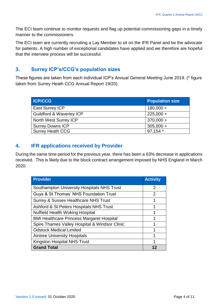The ECI team continue to monitor requests and flag up potential commissioning gaps in a timely manner to the commissioners.

The ECI team are currently recruiting a Lay Member to sit on the IFR Panel and be the advocate for patients. A high number of exceptional candidates have applied and we therefore are hopeful that the interview process will be successful.

#### <span id="page-3-0"></span>**3. Surrey ICP's/CCG's population sizes**

These figures are taken from each individual ICP's Annual General Meeting June 2019. (\* figure taken from Surrey Heath CCG Annual Report 19/20).

| <b>ICP/CCG</b>                      | <b>Population size</b> |
|-------------------------------------|------------------------|
| <b>East Surrey ICP</b>              | $180,000 +$            |
| <b>Guildford &amp; Waverley ICP</b> | $225,000 +$            |
| North West Surrey ICP               | $370,000 +$            |
| <b>Surrey Downs ICP</b>             | $305,000 +$            |
| <b>Surrey Heath CCG</b>             | 97,154 *               |

# <span id="page-3-1"></span>**4. IFR applications received by Provider**

During the same time period for the previous year, there has been a 63% decrease in applications received. This is likely due to the block contract arrangement imposed by NHS England in March 2020.

| <b>Provider</b>                                   | <b>Activity</b> |
|---------------------------------------------------|-----------------|
| <b>Southampton University Hospitals NHS Trust</b> | 2               |
| Guys & St Thomas' NHS Foundation Trust            | 2               |
| <b>Surrey &amp; Sussex Healthcare NHS Trust</b>   | 1               |
| Ashford & St Peters Hospitals NHS Trust           | 1               |
| <b>Nuffield Health Woking Hospital</b>            | 1               |
| <b>BMI Healthcare Princess Margaret Hospital</b>  | 1               |
| Spire Thames Valley Hospital & Windsor Clinic     |                 |
| <b>Odstock Medical Limited</b>                    |                 |
| <b>Aintree University Hospitals</b>               | 1               |
| <b>Kingston Hospital NHS Trust</b>                | 1               |
| <b>Grand Total</b>                                |                 |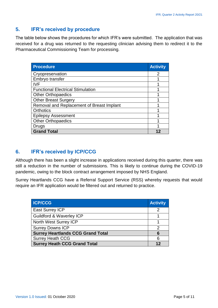## <span id="page-4-0"></span>**5. IFR's received by procedure**

The table below shows the procedures for which IFR's were submitted. The application that was received for a drug was returned to the requesting clinician advising them to redirect it to the Pharmaceutical Commissioning Team for processing.

| <b>Procedure</b>                          | <b>Activity</b> |
|-------------------------------------------|-----------------|
| Cryopreservation                          | 2               |
| Embryo transfer                           |                 |
| <b>IVF</b>                                |                 |
| <b>Functional Electrical Stimulation</b>  |                 |
| <b>Other Orthopaedics</b>                 |                 |
| <b>Other Breast Surgery</b>               |                 |
| Removal and Replacement of Breast Implant |                 |
| <b>Orthotics</b>                          |                 |
| <b>Epilepsy Assessment</b>                |                 |
| <b>Other Orthopaedics</b>                 |                 |
| Drugs                                     |                 |
| <b>Grand Total</b>                        |                 |

## <span id="page-4-1"></span>**6. IFR's received by ICP/CCG**

Although there has been a slight increase in applications received during this quarter, there was still a reduction in the number of submissions. This is likely to continue during the COVID-19 pandemic, owing to the block contract arrangement imposed by NHS England.

Surrey Heartlands CCG have a Referral Support Service (RSS) whereby requests that would require an IFR application would be filtered out and returned to practice.

| <b>ICP/CCG</b>                           | <b>Activity</b> |
|------------------------------------------|-----------------|
| <b>East Surrey ICP</b>                   | 2               |
| <b>Guildford &amp; Waverley ICP</b>      |                 |
| North West Surrey ICP                    |                 |
| <b>Surrey Downs ICP</b>                  | 2               |
| <b>Surrey Heartlands CCG Grand Total</b> | 6               |
| <b>Surrey Heath CCG</b>                  | 6               |
| <b>Surrey Heath CCG Grand Total</b>      | 12              |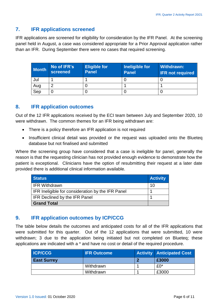#### <span id="page-5-0"></span>**7. IFR applications screened**

IFR applications are screened for eligibility for consideration by the IFR Panel. At the screening panel held in August, a case was considered appropriate for a Prior Approval application rather than an IFR. During September there were no cases that required screening.

| <b>Month</b> | No of IFR's<br>screened | <b>Eligible for</b><br><b>Panel</b> | Ineligible for<br><b>Panel</b> | Withdrawn:<br><b>IFR not required</b> |
|--------------|-------------------------|-------------------------------------|--------------------------------|---------------------------------------|
| Jul          |                         |                                     |                                |                                       |
| Aug          | r                       |                                     |                                |                                       |
| Sep          |                         |                                     |                                |                                       |

#### <span id="page-5-1"></span>**8. IFR application outcomes**

Out of the 12 IFR applications received by the ECI team between July and September 2020, 10 were withdrawn. The common themes for an IFR being withdrawn are:

- There is a policy therefore an IFR application is not required
- Insufficient clinical detail was provided or the request was uploaded onto the Blueteq database but not finalised and submitted

Where the screening group have considered that a case is ineligible for panel, generally the reason is that the requesting clinician has not provided enough evidence to demonstrate how the patient is exceptional. Clinicians have the option of resubmitting their request at a later date provided there is additional clinical information available.

| <b>Status</b>                                     | <b>Activity</b> |
|---------------------------------------------------|-----------------|
| <b>IFR Withdrawn</b>                              | -1 <sub>0</sub> |
| IFR Ineligible for consideration by the IFR Panel |                 |
| <b>IFR Declined by the IFR Panel</b>              |                 |
| <b>Grand Total</b>                                |                 |

# <span id="page-5-2"></span>**9. IFR application outcomes by ICP/CCG**

The table below details the outcomes and anticipated costs for all of the IFR applications that were submitted for this quarter. Out of the 12 applications that were submitted, 10 were withdrawn; 3 due to the application being initiated but not completed on Blueteq; these applications are indicated with a \* and have no cost or detail of the required procedure.

| <b>ICP/CCG</b>     | <b>IFR Outcome</b> | <b>Activity Anticipated Cost</b> |
|--------------------|--------------------|----------------------------------|
| <b>East Surrey</b> |                    | £3000                            |
|                    | Withdrawn          | $£0*$                            |
|                    | Withdrawn          | £3000                            |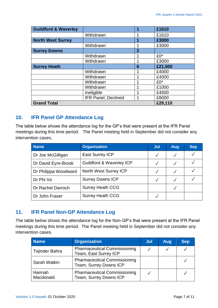| <b>Guildford &amp; Waverley</b> |                             |                | £1610   |
|---------------------------------|-----------------------------|----------------|---------|
|                                 | Withdrawn                   | 1              | £1610   |
| <b>North West Surrey</b>        |                             | и              | £3000   |
|                                 | Withdrawn                   | 1              | £3000   |
| <b>Surrey Downs</b>             |                             | $\overline{2}$ |         |
|                                 | Withdrawn                   |                | £0*     |
|                                 | Withdrawn                   |                | £3000   |
| <b>Surrey Heath</b>             |                             | 6              | £21,500 |
|                                 | Withdrawn                   |                | £4000   |
|                                 | Withdrawn                   |                | £4000   |
|                                 | Withdrawn                   | 1              | $£0*$   |
|                                 | Withdrawn                   |                | £1000   |
|                                 | Ineligible                  | 1              | £4500   |
|                                 | <b>IFR Panel</b> ; Declined | 1              | £8000   |
| <b>Grand Total</b>              |                             |                | £29,110 |

#### <span id="page-6-0"></span>**10. IFR Panel GP Attendance Log**

The table below shows the attendance log for the GP's that were present at the IFR Panel meetings during this time period. The Panel meeting held in September did not consider any intervention cases.

| <b>Name</b>          | <b>Organisation</b>                 | Jul          | Aug | <b>Sep</b> |
|----------------------|-------------------------------------|--------------|-----|------------|
| Dr Joe McGilligan    | <b>East Surrey ICP</b>              | $\sqrt{ }$   |     |            |
| Dr David Eyre-Brook  | <b>Guildford &amp; Waverley ICP</b> |              |     |            |
| Dr Philippa Woodward | North West Surrey ICP               | $\checkmark$ |     |            |
| Dr Phi Vo            | <b>Surrey Downs ICP</b>             |              |     |            |
| Dr Rachel Darroch    | <b>Surrey Heath CCG</b>             |              |     |            |
| Dr John Fraser       | <b>Surrey Heath CCG</b>             |              |     |            |

# <span id="page-6-1"></span>**11. IFR Panel Non-GP Attendance Log**

The table below shows the attendance log for the Non-GP's that were present at the IFR Panel meetings during this time period. The Panel meeting held in September did not consider any intervention cases.

| <b>Name</b>         | <b>Organisation</b>                                           | Jul | Aug | <b>Sep</b> |
|---------------------|---------------------------------------------------------------|-----|-----|------------|
| Tejinder Bahra      | <b>Pharmaceutical Commissioning</b><br>Team, East Surrey ICP  |     |     |            |
| Sarah Watkin        | <b>Pharmaceutical Commissioning</b><br>Team, Surrey Downs ICP |     |     |            |
| Hannah<br>Macdonald | <b>Pharmaceutical Commissioning</b><br>Team, Surrey Downs ICP |     |     |            |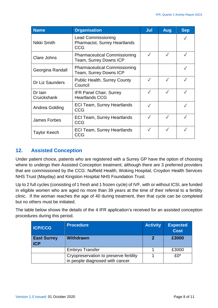| <b>Name</b>            | <b>Organisation</b>                                                             | Jul       | <b>Aug</b>   | <b>Sep</b>   |
|------------------------|---------------------------------------------------------------------------------|-----------|--------------|--------------|
| Nikki Smith            | <b>Lead Commissioning</b><br><b>Pharmacist, Surrey Heartlands</b><br><b>CCG</b> |           |              |              |
| <b>Clare Johns</b>     | <b>Pharmaceutical Commissioning</b><br>Team, Surrey Downs ICP                   |           | $\sqrt{}$    |              |
| Georgina Randall       | <b>Pharmaceutical Commissioning</b><br>Team, Surrey Downs ICP                   |           |              | $\checkmark$ |
| <b>Dr Liz Saunders</b> | <b>Public Health, Surrey County</b><br>Council                                  |           | $\checkmark$ |              |
| Dr Iain<br>Cruickshank | <b>IFR Panel Chair, Surrey</b><br><b>Heartlands CCG</b>                         |           | $\checkmark$ |              |
| Andrea Golding         | <b>ECI Team, Surrey Heartlands</b><br><b>CCG</b>                                |           |              |              |
| <b>James Forbes</b>    | <b>ECI Team, Surrey Heartlands</b><br>CCG                                       | $\sqrt{}$ | $\checkmark$ | $\checkmark$ |
| <b>Taylor Keech</b>    | <b>ECI Team, Surrey Heartlands</b><br>CCG                                       |           |              |              |

# <span id="page-7-0"></span>**12. Assisted Conception**

Under patient choice, patients who are registered with a Surrey GP have the option of choosing where to undergo their Assisted Conception treatment, although there are 3 preferred providers that are commissioned by the CCG: Nuffield Health, Woking Hospital, Croydon Health Services NHS Trust (Mayday) and Kingston Hospital NHS Foundation Trust.

Up to 2 full cycles (consisting of 1 fresh and 1 frozen cycle) of IVF, with or without ICSI, are funded in eligible women who are aged no more than 39 years at the time of their referral to a fertility clinic. If the woman reaches the age of 40 during treatment, then that cycle can be completed but no others must be initiated.

The table below shows the details of the 4 IFR application's received for an assisted conception procedures during this period.

| <b>ICP/CCG</b>                   | <b>Procedure</b>                                                          | <b>Activity</b> | <b>Expected</b><br><b>Cost</b> |
|----------------------------------|---------------------------------------------------------------------------|-----------------|--------------------------------|
| <b>East Surrey</b><br><b>ICP</b> | <b>Withdrawn</b>                                                          | 2               | £3000                          |
|                                  | <b>Embryo Transfer</b>                                                    |                 | £3000                          |
|                                  | Cryopreservation to preserve fertility<br>in people diagnosed with cancer |                 | $f(0^*)$                       |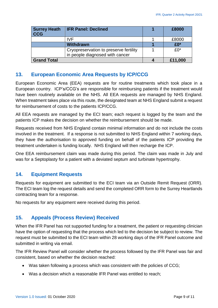| <b>Surrey Heath</b><br><b>CCG</b> | <b>IFR Panel: Declined</b>                                                | £8000    |
|-----------------------------------|---------------------------------------------------------------------------|----------|
|                                   | IVF                                                                       | £8000    |
|                                   | <b>Withdrawn</b>                                                          | £0*      |
|                                   | Cryopreservation to preserve fertility<br>in people diagnosed with cancer | $f(0^*)$ |
| <b>Grand Total</b>                |                                                                           | £11,000  |

#### <span id="page-8-0"></span>**13. European Economic Area Requests by ICP/CCG**

European Economic Area (EEA) requests are for routine treatments which took place in a European country. ICP's/CCG's are responsible for reimbursing patients if the treatment would have been routinely available on the NHS. All EEA requests are managed by NHS England. When treatment takes place via this route, the designated team at NHS England submit a request for reimbursement of costs to the patients ICP/CCG.

All EEA requests are managed by the ECI team; each request is logged by the team and the patients ICP makes the decision on whether the reimbursement should be made.

Requests received from NHS England contain minimal information and do not include the costs involved in the treatment. If a response is not submitted to NHS England within 7 working days, they have the authorisation to approved funding on behalf of the patients ICP providing the treatment undertaken is funding locally. NHS England will then recharge the ICP.

One EEA reimbursement claim was made during this period. The claim was made in July and was for a Septoplasty for a patient with a deviated septum and turbinate hypertrophy.

# <span id="page-8-1"></span>**14. Equipment Requests**

Requests for equipment are submitted to the ECI team via an Outside Remit Request (ORR). The ECI team log the request details and send the completed ORR form to the Surrey Heartlands contracting team for a response.

No requests for any equipment were received during this period.

# <span id="page-8-2"></span>**15. Appeals (Process Review) Received**

When the IFR Panel has not supported funding for a treatment, the patient or requesting clinician have the option of requesting that the process which led to the decision be subject to review. The request must be submitted to the ECI team within 28 working days of the IFR Panel outcome and submitted in writing via email.

The IFR Review Panel will consider whether the process followed by the IFR Panel was fair and consistent, based on whether the decision reached:

- Was taken following a process which was consistent with the policies of CCG;
- Was a decision which a reasonable IFR Panel was entitled to reach;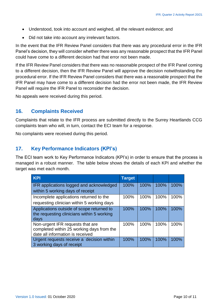- Understood, took into account and weighed, all the relevant evidence; and
- Did not take into account any irrelevant factors.

In the event that the IFR Review Panel considers that there was any procedural error in the IFR Panel's decision, they will consider whether there was any reasonable prospect that the IFR Panel could have come to a different decision had that error not been made.

If the IFR Review Panel considers that there was no reasonable prospect of the IFR Panel coming to a different decision, then the IFR Review Panel will approve the decision notwithstanding the procedural error. If the IFR Review Panel considers that there was a reasonable prospect that the IFR Panel may have come to a different decision had the error not been made, the IFR Review Panel will require the IFR Panel to reconsider the decision.

No appeals were received during this period.

#### <span id="page-9-0"></span>**16. Complaints Received**

Complaints that relate to the IFR process are submitted directly to the Surrey Heartlands CCG complaints team who will, in turn, contact the ECI team for a response.

No complaints were received during this period.

#### <span id="page-9-1"></span>**17. Key Performance Indicators (KPI's)**

The ECI team work to Key Performance Indicators (KPI's) in order to ensure that the process is managed in a robust manner. The table below shows the details of each KPI and whether the target was met each month.

| <b>KPI</b>                                 | <b>Target</b> |      |      |      |
|--------------------------------------------|---------------|------|------|------|
| IFR applications logged and acknowledged   | 100%          | 100% | 100% | 100% |
| within 5 working days of receipt           |               |      |      |      |
| Incomplete applications returned to the    | 100%          | 100% | 100% | 100% |
| requesting clinician within 5 working days |               |      |      |      |
| Applications outside of scope returned to  | 100%          | 100% | 100% | 100% |
| the requesting clinicians within 5 working |               |      |      |      |
| days                                       |               |      |      |      |
| Non-urgent IFR requests that are           | 100%          | 100% | 100% | 100% |
| completed within 25 working days from the  |               |      |      |      |
| date all information is received           |               |      |      |      |
| Urgent requests receive a decision within  | 100%          | 100% | 100% | 100% |
| 3 working days of receipt                  |               |      |      |      |